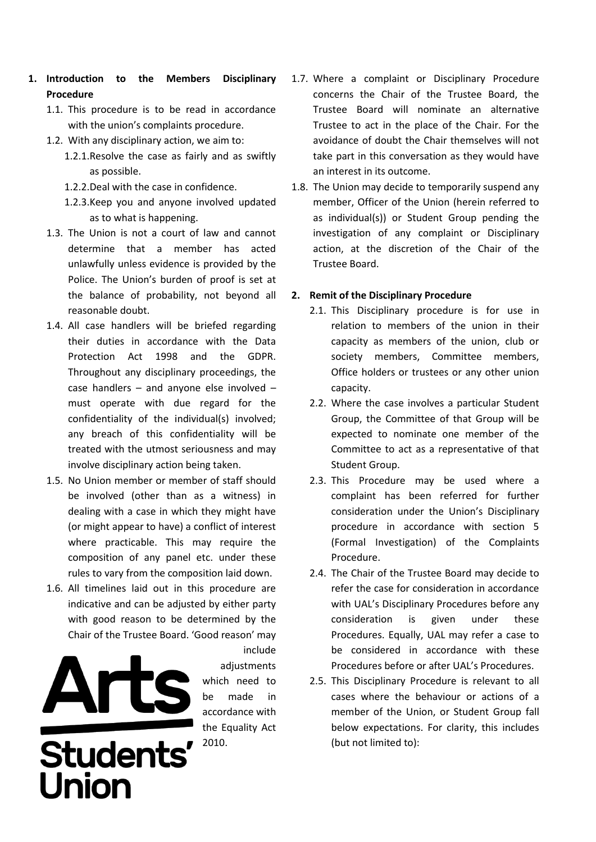- **1. Introduction to the Members Disciplinary Procedure**
	- 1.1. This procedure is to be read in accordance with the union's complaints procedure.
	- 1.2. With any disciplinary action, we aim to:
		- 1.2.1.Resolve the case as fairly and as swiftly as possible.
		- 1.2.2.Deal with the case in confidence.
		- 1.2.3.Keep you and anyone involved updated as to what is happening.
	- 1.3. The Union is not a court of law and cannot determine that a member has acted unlawfully unless evidence is provided by the Police. The Union's burden of proof is set at the balance of probability, not beyond all reasonable doubt.
	- 1.4. All case handlers will be briefed regarding their duties in accordance with the Data Protection Act 1998 and the GDPR. Throughout any disciplinary proceedings, the case handlers – and anyone else involved – must operate with due regard for the confidentiality of the individual(s) involved; any breach of this confidentiality will be treated with the utmost seriousness and may involve disciplinary action being taken.
	- 1.5. No Union member or member of staff should be involved (other than as a witness) in dealing with a case in which they might have (or might appear to have) a conflict of interest where practicable. This may require the composition of any panel etc. under these rules to vary from the composition laid down.
	- 1.6. All timelines laid out in this procedure are indicative and can be adjusted by either party with good reason to be determined by the Chair of the Trustee Board. 'Good reason' may



include adiustments which need to be made in accordance with the Equality Act 2010.

- 1.7. Where a complaint or Disciplinary Procedure concerns the Chair of the Trustee Board, the Trustee Board will nominate an alternative Trustee to act in the place of the Chair. For the avoidance of doubt the Chair themselves will not take part in this conversation as they would have an interest in its outcome.
- 1.8. The Union may decide to temporarily suspend any member, Officer of the Union (herein referred to as individual(s)) or Student Group pending the investigation of any complaint or Disciplinary action, at the discretion of the Chair of the Trustee Board.

### **2. Remit of the Disciplinary Procedure**

- 2.1. This Disciplinary procedure is for use in relation to members of the union in their capacity as members of the union, club or society members, Committee members, Office holders or trustees or any other union capacity.
- 2.2. Where the case involves a particular Student Group, the Committee of that Group will be expected to nominate one member of the Committee to act as a representative of that Student Group.
- 2.3. This Procedure may be used where a complaint has been referred for further consideration under the Union's Disciplinary procedure in accordance with section 5 (Formal Investigation) of the Complaints Procedure.
- 2.4. The Chair of the Trustee Board may decide to refer the case for consideration in accordance with UAL's Disciplinary Procedures before any consideration is given under these Procedures. Equally, UAL may refer a case to be considered in accordance with these Procedures before or after UAL's Procedures.
- 2.5. This Disciplinary Procedure is relevant to all cases where the behaviour or actions of a member of the Union, or Student Group fall below expectations. For clarity, this includes (but not limited to):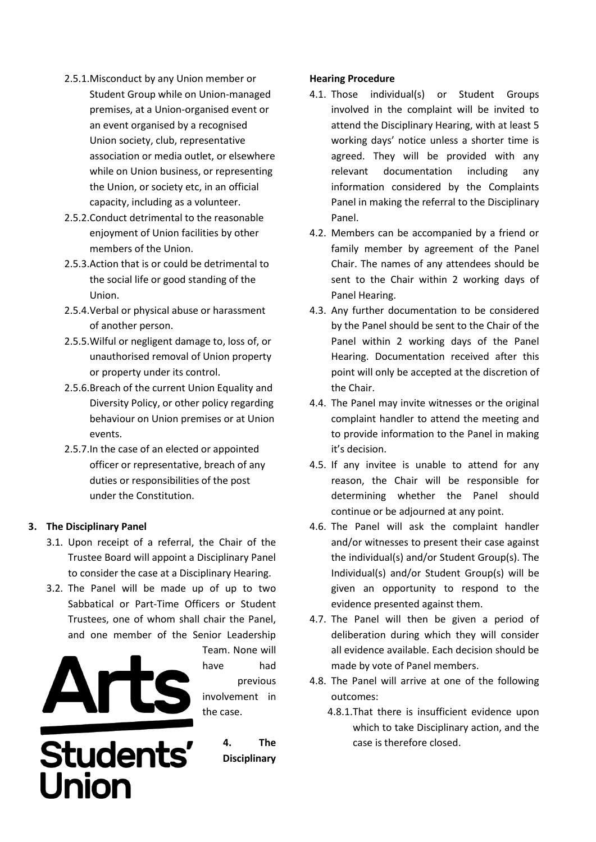- 2.5.1.Misconduct by any Union member or Student Group while on Union-managed premises, at a Union-organised event or an event organised by a recognised Union society, club, representative association or media outlet, or elsewhere while on Union business, or representing the Union, or society etc, in an official capacity, including as a volunteer.
- 2.5.2.Conduct detrimental to the reasonable enjoyment of Union facilities by other members of the Union.
- 2.5.3.Action that is or could be detrimental to the social life or good standing of the Union.
- 2.5.4.Verbal or physical abuse or harassment of another person.
- 2.5.5.Wilful or negligent damage to, loss of, or unauthorised removal of Union property or property under its control.
- 2.5.6.Breach of the current Union Equality and Diversity Policy, or other policy regarding behaviour on Union premises or at Union events.
- 2.5.7.In the case of an elected or appointed officer or representative, breach of any duties or responsibilities of the post under the Constitution.

## **3. The Disciplinary Panel**

- 3.1. Upon receipt of a referral, the Chair of the Trustee Board will appoint a Disciplinary Panel to consider the case at a Disciplinary Hearing.
- 3.2. The Panel will be made up of up to two Sabbatical or Part-Time Officers or Student Trustees, one of whom shall chair the Panel, and one member of the Senior Leadership



Team. None will have had previous involvement in the case.

# Students' Union

**4. The Disciplinary** 

### **Hearing Procedure**

- 4.1. Those individual(s) or Student Groups involved in the complaint will be invited to attend the Disciplinary Hearing, with at least 5 working days' notice unless a shorter time is agreed. They will be provided with any relevant documentation including any information considered by the Complaints Panel in making the referral to the Disciplinary Panel.
- 4.2. Members can be accompanied by a friend or family member by agreement of the Panel Chair. The names of any attendees should be sent to the Chair within 2 working days of Panel Hearing.
- 4.3. Any further documentation to be considered by the Panel should be sent to the Chair of the Panel within 2 working days of the Panel Hearing. Documentation received after this point will only be accepted at the discretion of the Chair.
- 4.4. The Panel may invite witnesses or the original complaint handler to attend the meeting and to provide information to the Panel in making it's decision.
- 4.5. If any invitee is unable to attend for any reason, the Chair will be responsible for determining whether the Panel should continue or be adjourned at any point.
- 4.6. The Panel will ask the complaint handler and/or witnesses to present their case against the individual(s) and/or Student Group(s). The Individual(s) and/or Student Group(s) will be given an opportunity to respond to the evidence presented against them.
- 4.7. The Panel will then be given a period of deliberation during which they will consider all evidence available. Each decision should be made by vote of Panel members.
- 4.8. The Panel will arrive at one of the following outcomes:
	- 4.8.1.That there is insufficient evidence upon which to take Disciplinary action, and the case is therefore closed.